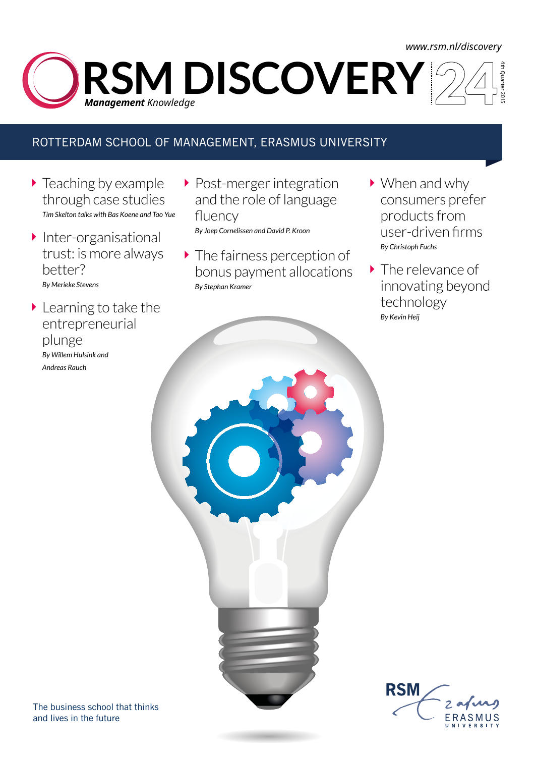## *www.rsm.nl/discovery*

4th Quarter 2015 **RSM DISCOVERY** *Management Knowledge* 

## ROTTERDAM SCHOOL OF MANAGEMENT, ERASMUS UNIVERSITY

- $\blacktriangleright$  Teaching by example through case studies *Tim Skelton talks with Bas Koene and Tao Yue*
- $\blacktriangleright$  Inter-organisational trust: is more always better? *By Merieke Stevens*
- Learning to take the entrepreneurial plunge *By Willem Hulsink and Andreas Rauch*
- **Post-merger integration** and the role of language fluency

*By Joep Cornelissen and David P. Kroon*

- The fairness perception of bonus payment allocations *By Stephan Kramer*
- ▶ When and why consumers prefer products from user-driven firms *By Christoph Fuchs*
- **The relevance of** innovating beyond technology *By Kevin Heij*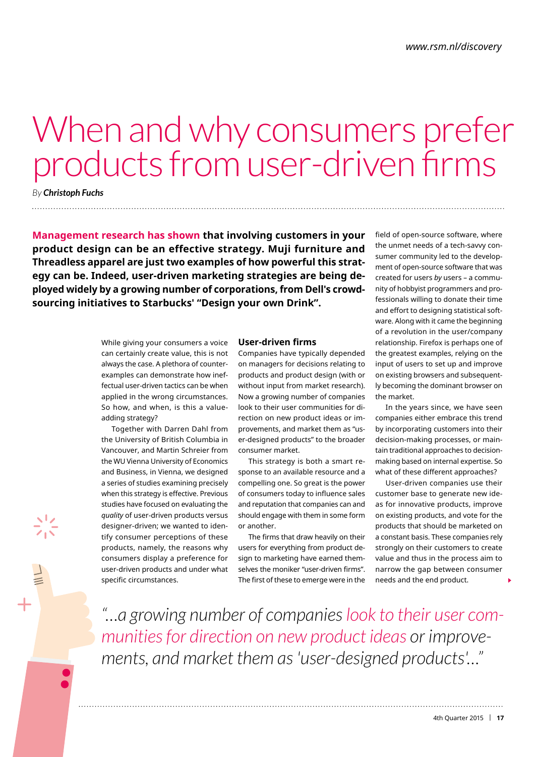# When and why consumers prefer products from user-driven firms

*By Christoph Fuchs* . . . . . . . . . . . . . . . . . .

**Management research has shown that involving customers in your product design can be an effective strategy. Muji furniture and Threadless apparel are just two examples of how powerful this strategy can be. Indeed, user-driven marketing strategies are being deployed widely by a growing number of corporations, from Dell's crowdsourcing initiatives to Starbucks' "Design your own Drink".**

> While giving your consumers a voice can certainly create value, this is not always the case. A plethora of counterexamples can demonstrate how ineffectual user-driven tactics can be when applied in the wrong circumstances. So how, and when, is this a valueadding strategy?

> Together with Darren Dahl from the University of British Columbia in Vancouver, and Martin Schreier from the WU Vienna University of Economics and Business, in Vienna, we designed a series of studies examining precisely when this strategy is effective. Previous studies have focused on evaluating the *quality* of user-driven products versus designer-driven; we wanted to identify consumer perceptions of these products, namely, the reasons why consumers display a preference for user-driven products and under what specific circumstances.

### **User-driven firms**

Companies have typically depended on managers for decisions relating to products and product design (with or without input from market research). Now a growing number of companies look to their user communities for direction on new product ideas or improvements, and market them as "user-designed products" to the broader consumer market.

This strategy is both a smart response to an available resource and a compelling one. So great is the power of consumers today to influence sales and reputation that companies can and should engage with them in some form or another.

The firms that draw heavily on their users for everything from product design to marketing have earned themselves the moniker "user-driven firms". The first of these to emerge were in the

field of open-source software, where the unmet needs of a tech-savvy consumer community led to the development of open-source software that was created for users *by* users – a community of hobbyist programmers and professionals willing to donate their time and effort to designing statistical software. Along with it came the beginning of a revolution in the user/company relationship. Firefox is perhaps one of the greatest examples, relying on the input of users to set up and improve on existing browsers and subsequently becoming the dominant browser on the market.

In the years since, we have seen companies either embrace this trend by incorporating customers into their decision-making processes, or maintain traditional approaches to decisionmaking based on internal expertise. So what of these different approaches?

User-driven companies use their customer base to generate new ideas for innovative products, improve on existing products, and vote for the products that should be marketed on a constant basis. These companies rely strongly on their customers to create value and thus in the process aim to narrow the gap between consumer needs and the end product.

*"…a growing number of companies look to their user communities for direction on new product ideas or improvements, and market them as 'user-designed products'…"*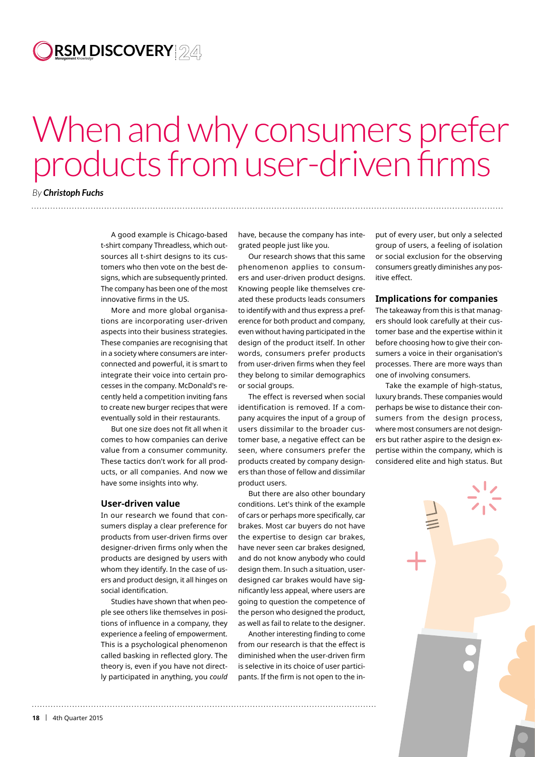## **RSM DISCOVERY** *Management Knowledge*

## When and why consumers prefer products from user-driven firms

## *By Christoph Fuchs* . . . . . . . . . . . . . . . . .

A good example is Chicago-based t-shirt company Threadless, which outsources all t-shirt designs to its customers who then vote on the best designs, which are subsequently printed. The company has been one of the most innovative firms in the US.

More and more global organisations are incorporating user-driven aspects into their business strategies. These companies are recognising that in a society where consumers are interconnected and powerful, it is smart to integrate their voice into certain processes in the company. McDonald's recently held a competition inviting fans to create new burger recipes that were eventually sold in their restaurants.

But one size does not fit all when it comes to how companies can derive value from a consumer community. These tactics don't work for all products, or all companies. And now we have some insights into why.

#### **User-driven value**

In our research we found that consumers display a clear preference for products from user-driven firms over designer-driven firms only when the products are designed by users with whom they identify. In the case of users and product design, it all hinges on social identification.

Studies have shown that when people see others like themselves in positions of influence in a company, they experience a feeling of empowerment. This is a psychological phenomenon called basking in reflected glory. The theory is, even if you have not directly participated in anything, you *could*

have, because the company has integrated people just like you.

Our research shows that this same phenomenon applies to consumers and user-driven product designs. Knowing people like themselves created these products leads consumers to identify with and thus express a preference for both product and company, even without having participated in the design of the product itself. In other words, consumers prefer products from user-driven firms when they feel they belong to similar demographics or social groups.

The effect is reversed when social identification is removed. If a company acquires the input of a group of users dissimilar to the broader customer base, a negative effect can be seen, where consumers prefer the products created by company designers than those of fellow and dissimilar product users.

But there are also other boundary conditions. Let's think of the example of cars or perhaps more specifically, car brakes. Most car buyers do not have the expertise to design car brakes, have never seen car brakes designed, and do not know anybody who could design them. In such a situation, userdesigned car brakes would have significantly less appeal, where users are going to question the competence of the person who designed the product, as well as fail to relate to the designer.

Another interesting finding to come from our research is that the effect is diminished when the user-driven firm is selective in its choice of user participants. If the firm is not open to the in-

put of every user, but only a selected group of users, a feeling of isolation or social exclusion for the observing consumers greatly diminishes any positive effect.

### **Implications for companies**

The takeaway from this is that managers should look carefully at their customer base and the expertise within it before choosing how to give their consumers a voice in their organisation's processes. There are more ways than one of involving consumers.

Take the example of high-status, luxury brands. These companies would perhaps be wise to distance their consumers from the design process, where most consumers are not designers but rather aspire to the design expertise within the company, which is considered elite and high status. But